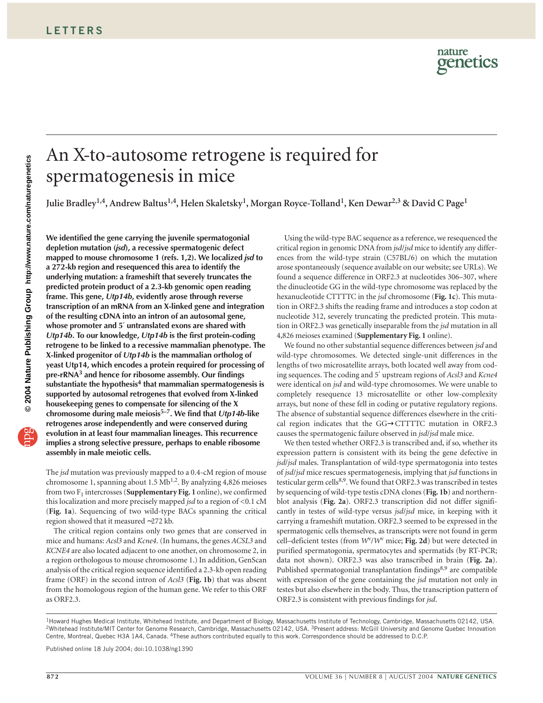# An X-to-autosome retrogene is required for spermatogenesis in mice

**Julie Bradley1,4, Andrew Baltus1,4, Helen Skaletsky1, Morgan Royce-Tolland1, Ken Dewar2,3 & David C Page1**

**We identified the gene carrying the juvenile spermatogonial depletion mutation (***jsd***), a recessive spermatogenic defect mapped to mouse chromosome 1 (refs. 1,2). We localized** *jsd* **to a 272-kb region and resequenced this area to identify the underlying mutation: a frameshift that severely truncates the predicted protein product of a 2.3-kb genomic open reading frame. This gene,** *Utp14b***, evidently arose through reverse transcription of an mRNA from an X-linked gene and integration of the resulting cDNA into an intron of an autosomal gene, whose promoter and 5**′ **untranslated exons are shared with** *Utp14b***. To our knowledge,** *Utp14b* **is the first protein-coding retrogene to be linked to a recessive mammalian phenotype. The X-linked progenitor of** *Utp14b* **is the mammalian ortholog of yeast Utp14, which encodes a protein required for processing of pre-rRNA3 and hence for ribosome assembly. Our findings substantiate the hypothesis4 that mammalian spermatogenesis is supported by autosomal retrogenes that evolved from X-linked housekeeping genes to compensate for silencing of the X chromosome during male meiosis5–7. We find that** *Utp14b***-like retrogenes arose independently and were conserved during evolution in at least four mammalian lineages. This recurrence implies a strong selective pressure, perhaps to enable ribosome assembly in male meiotic cells.**

The *jsd* mutation was previously mapped to a 0.4-cM region of mouse chromosome 1, spanning about 1.5  $Mb^{1,2}$ . By analyzing 4,826 meioses from two F<sub>1</sub> intercrosses (**Supplementary Fig. 1** online), we confirmed this localization and more precisely mapped *jsd* to a region of <0.1 cM (**Fig. 1a**). Sequencing of two wild-type BACs spanning the critical region showed that it measured ∼272 kb.

The critical region contains only two genes that are conserved in mice and humans: *Acsl3* and *Kcne4*. (In humans, the genes *ACSL3* and *KCNE4* are also located adjacent to one another, on chromosome 2, in a region orthologous to mouse chromosome 1.) In addition, GenScan analysis of the critical region sequence identified a 2.3-kb open reading frame (ORF) in the second intron of *Acsl3* (**Fig. 1b**) that was absent from the homologous region of the human gene. We refer to this ORF as ORF2.3.

Using the wild-type BAC sequence as a reference, we resequenced the critical region in genomic DNA from *jsd*/*jsd* mice to identify any differences from the wild-type strain (C57BL/6) on which the mutation arose spontaneously (sequence available on our website; see URLs). We found a sequence difference in ORF2.3 at nucleotides 306–307, where the dinucleotide GG in the wild-type chromosome was replaced by the hexanucleotide CTTTTC in the *jsd* chromosome (**Fig. 1c**). This mutation in ORF2.3 shifts the reading frame and introduces a stop codon at nucleotide 312, severely truncating the predicted protein. This mutation in ORF2.3 was genetically inseparable from the *jsd* mutation in all 4,826 meioses examined (**Supplementary Fig. 1** online).

We found no other substantial sequence differences between *jsd* and wild-type chromosomes. We detected single-unit differences in the lengths of two microsatellite arrays, both located well away from coding sequences. The coding and 5′ upstream regions of *Acsl3* and *Kcne4* were identical on *jsd* and wild-type chromosomes. We were unable to completely resequence 13 microsatellite or other low-complexity arrays, but none of these fell in coding or putative regulatory regions. The absence of substantial sequence differences elsewhere in the critical region indicates that the GG→CTTTTC mutation in ORF2.3 causes the spermatogenic failure observed in *jsd*/*jsd* male mice.

We then tested whether ORF2.3 is transcribed and, if so, whether its expression pattern is consistent with its being the gene defective in *jsd*/*jsd* males. Transplantation of wild-type spermatogonia into testes of *jsd*/*jsd* mice rescues spermatogenesis, implying that *jsd* functions in testicular germ cells<sup>8,9</sup>. We found that ORF2.3 was transcribed in testes by sequencing of wild-type testis cDNA clones (**Fig. 1b**) and northernblot analysis (**Fig. 2a**). ORF2.3 transcription did not differ significantly in testes of wild-type versus *jsd*/*jsd* mice, in keeping with it carrying a frameshift mutation. ORF2.3 seemed to be expressed in the spermatogenic cells themselves, as transcripts were not found in germ cell–deficient testes (from *W*v/*W*<sup>v</sup> mice; **Fig. 2d**) but were detected in purified spermatogonia, spermatocytes and spermatids (by RT-PCR; data not shown). ORF2.3 was also transcribed in brain (**Fig. 2a**). Published spermatogonial transplantation findings<sup>8,9</sup> are compatible with expression of the gene containing the *jsd* mutation not only in testes but also elsewhere in the body. Thus, the transcription pattern of ORF2.3 is consistent with previous findings for *jsd*.

Published online 18 July 2004; doi:10.1038/ng1390

<sup>&</sup>lt;sup>1</sup>Howard Hughes Medical Institute, Whitehead Institute, and Department of Biology, Massachusetts Institute of Technology, Cambridge, Massachusetts 02142, USA. 2Whitehead Institute/MIT Center for Genome Research, Cambridge, Massachusetts 02142, USA. 3Present address: McGill University and Genome Quebec Innovation Centre, Montreal, Quebec H3A 1A4, Canada. 4These authors contributed equally to this work. Correspondence should be addressed to D.C.P.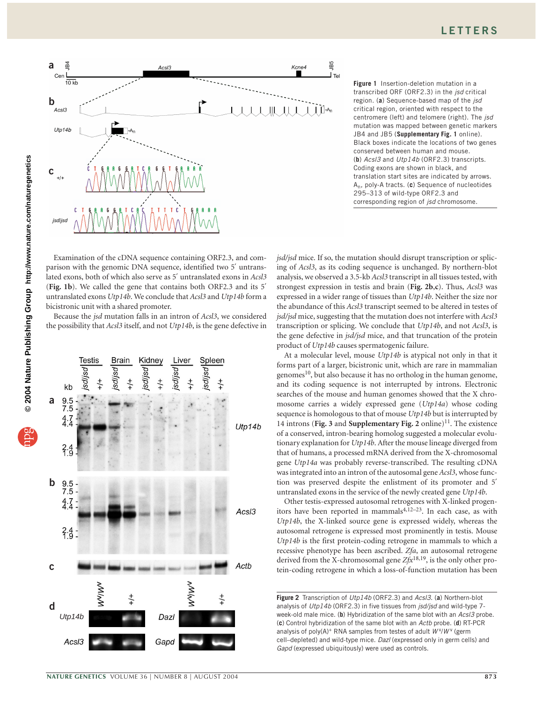

**Figure 1** Insertion-deletion mutation in a transcribed ORF (ORF2.3) in the *jsd* critical region. (**a**) Sequence-based map of the *jsd* critical region, oriented with respect to the centromere (left) and telomere (right). The *jsd* mutation was mapped between genetic markers JB4 and JB5 (**Supplementary Fig. 1** online). Black boxes indicate the locations of two genes conserved between human and mouse. (**b**) *Acsl3* and *Utp14b* (ORF2.3) transcripts. Coding exons are shown in black, and translation start sites are indicated by arrows. An, poly-A tracts. (**c**) Sequence of nucleotides 295–313 of wild-type ORF2.3 and corresponding region of *jsd* chromosome.

Examination of the cDNA sequence containing ORF2.3, and comparison with the genomic DNA sequence, identified two 5′ untranslated exons, both of which also serve as 5′ untranslated exons in *Acsl3* (**Fig. 1b**). We called the gene that contains both ORF2.3 and its 5′ untranslated exons *Utp14b*. We conclude that *Acsl3* and *Utp14b* form a bicistronic unit with a shared promoter.

Because the *jsd* mutation falls in an intron of *Acsl3*, we considered the possibility that *Acsl3* itself, and not *Utp14b*, is the gene defective in



*jsd/jsd* mice. If so, the mutation should disrupt transcription or splicing of *Acsl3*, as its coding sequence is unchanged. By northern-blot analysis, we observed a 3.5-kb *Acsl3* transcript in all tissues tested, with strongest expression in testis and brain (**Fig. 2b**,**c**). Thus, *Acsl3* was expressed in a wider range of tissues than *Utp14b*. Neither the size nor the abundance of this *Acsl3* transcript seemed to be altered in testes of *jsd/jsd* mice, suggesting that the mutation does not interfere with *Acsl3* transcription or splicing. We conclude that *Utp14b*, and not *Acsl3*, is the gene defective in *jsd/jsd* mice, and that truncation of the protein product of *Utp14b* causes spermatogenic failure.

At a molecular level, mouse *Utp14b* is atypical not only in that it forms part of a larger, bicistronic unit, which are rare in mammalian genomes $^{10}$ , but also because it has no ortholog in the human genome, and its coding sequence is not interrupted by introns. Electronic searches of the mouse and human genomes showed that the X chromosome carries a widely expressed gene (*Utp14a*) whose coding sequence is homologous to that of mouse *Utp14b* but is interrupted by 14 introns (Fig. 3 and Supplementary Fig. 2 online)<sup>11</sup>. The existence of a conserved, intron-bearing homolog suggested a molecular evolutionary explanation for *Utp14b*. After the mouse lineage diverged from that of humans, a processed mRNA derived from the X-chromosomal gene *Utp14a* was probably reverse-transcribed. The resulting cDNA was integrated into an intron of the autosomal gene *Acsl3*, whose function was preserved despite the enlistment of its promoter and 5′ untranslated exons in the service of the newly created gene *Utp14b*.

Other testis-expressed autosomal retrogenes with X-linked progenitors have been reported in mammals<sup>4,12–23</sup>. In each case, as with *Utp14b*, the X-linked source gene is expressed widely, whereas the autosomal retrogene is expressed most prominently in testis. Mouse *Utp14b* is the first protein-coding retrogene in mammals to which a recessive phenotype has been ascribed. *Zfa*, an autosomal retrogene derived from the X-chromosomal gene *Zfx*18,19, is the only other protein-coding retrogene in which a loss-of-function mutation has been

**Figure 2** Transcription of *Utp14b* (ORF2.3) and *Acsl3*. (**a**) Northern-blot analysis of *Utp14b* (ORF2.3) in five tissues from *jsd/jsd* and wild-type 7 week-old male mice. (**b**) Hybridization of the same blot with an *Acsl3* probe. (**c**) Control hybridization of the same blot with an *Actb* probe. (**d**) RT-PCR analysis of poly(A)<sup>+</sup> RNA samples from testes of adult  $W^{\vee}/W^{\vee}$  (germ cell–depleted) and wild-type mice. *Dazl* (expressed only in germ cells) and *Gapd* (expressed ubiquitously) were used as controls.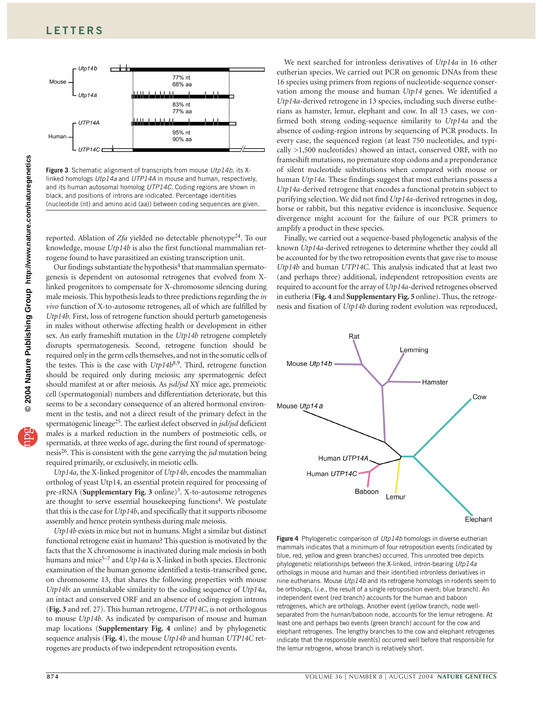

**Figure 3** Schematic alignment of transcripts from mouse *Utp14b*, its Xlinked homologs *Utp14a* and *UTP14A* in mouse and human, respectively, and its human autosomal homolog *UTP14C*. Coding regions are shown in black, and positions of introns are indicated. Percentage identities (nucleotide (nt) and amino acid (aa)) between coding sequences are given.

reported. Ablation of  $Zfa$  yielded no detectable phenotype<sup>24</sup>. To our knowledge, mouse *Utp14b* is also the first functional mammalian retrogene found to have parasitized an existing transcription unit.

Our findings substantiate the hypothesis $4$  that mammalian spermatogenesis is dependent on autosomal retrogenes that evolved from Xlinked progenitors to compensate for X-chromosome silencing during male meiosis. This hypothesis leads to three predictions regarding the *in vivo* function of X-to-autosome retrogenes, all of which are fulfilled by *Utp14b*. First, loss of retrogene function should perturb gametogenesis in males without otherwise affecting health or development in either sex. An early frameshift mutation in the *Utp14b* retrogene completely disrupts spermatogenesis. Second, retrogene function should be required only in the germ cells themselves, and not in the somatic cells of the testes. This is the case with *Utp14b*8,9. Third, retrogene function should be required only during meiosis; any spermatogenic defect should manifest at or after meiosis. As *jsd/jsd* XY mice age, premeiotic cell (spermatogonial) numbers and differentiation deteriorate, but this seems to be a secondary consequence of an altered hormonal environment in the testis, and not a direct result of the primary defect in the spermatogenic lineage25. The earliest defect observed in *jsd/jsd* deficient males is a marked reduction in the numbers of postmeiotic cells, or spermatids, at three weeks of age, during the first round of spermatogenesis26. This is consistent with the gene carrying the *jsd* mutation being required primarily, or exclusively, in meiotic cells.

*Utp14a*, the X-linked progenitor of *Utp14b*, encodes the mammalian ortholog of yeast Utp14, an essential protein required for processing of pre-rRNA (Supplementary Fig. 3 online)<sup>3</sup>. X-to-autosome retrogenes are thought to serve essential housekeeping functions<sup>4</sup>. We postulate that this is the case for *Utp14b*, and specifically that it supports ribosome assembly and hence protein synthesis during male meiosis.

*Utp14b* exists in mice but not in humans. Might a similar but distinct functional retrogene exist in humans? This question is motivated by the facts that the X chromosome is inactivated during male meiosis in both humans and mice<sup>5–7</sup> and *Utp14a* is X-linked in both species. Electronic examination of the human genome identified a testis-transcribed gene, on chromosome 13, that shares the following properties with mouse *Utp14b*: an unmistakable similarity to the coding sequence of *Utp14a*, an intact and conserved ORF and an absence of coding-region introns (**Fig. 3** and ref. 27). This human retrogene, *UTP14C*, is not orthologous to mouse *Utp14b*. As indicated by comparison of mouse and human map locations (**Supplementary Fig. 4** online) and by phylogenetic sequence analysis (**Fig. 4**), the mouse *Utp14b* and human *UTP14C* retrogenes are products of two independent retroposition events.

We next searched for intronless derivatives of *Utp14a* in 16 other eutherian species. We carried out PCR on genomic DNAs from these 16 species using primers from regions of nucleotide-sequence conservation among the mouse and human *Utp14* genes. We identified a *Utp14a*-derived retrogene in 13 species, including such diverse eutherians as hamster, lemur, elephant and cow. In all 13 cases, we confirmed both strong coding-sequence similarity to *Utp14a* and the absence of coding-region introns by sequencing of PCR products. In every case, the sequenced region (at least 750 nucleotides, and typically >1,500 nucleotides) showed an intact, conserved ORF, with no frameshift mutations, no premature stop codons and a preponderance of silent nucleotide substitutions when compared with mouse or human *Utp14a*. These findings suggest that most eutherians possess a *Utp14a*-derived retrogene that encodes a functional protein subject to purifying selection. We did not find *Utp14a*-derived retrogenes in dog, horse or rabbit, but this negative evidence is inconclusive. Sequence divergence might account for the failure of our PCR primers to amplify a product in these species.

Finally, we carried out a sequence-based phylogenetic analysis of the known *Utp14a*-derived retrogenes to determine whether they could all be accounted for by the two retroposition events that gave rise to mouse *Utp14b* and human *UTP14C*. This analysis indicated that at least two (and perhaps three) additional, independent retroposition events are required to account for the array of *Utp14a*-derived retrogenes observed in eutheria (**Fig. 4** and **Supplementary Fig. 5** online). Thus, the retrogenesis and fixation of *Utp14b* during rodent evolution was reproduced,



**Figure 4** Phylogenetic comparison of *Utp14b* homologs in diverse eutherian mammals indicates that a minimum of four retroposition events (indicated by blue, red, yellow and green branches) occurred. This unrooted tree depicts phylogenetic relationships between the X-linked, intron-bearing *Utp14a* orthologs in mouse and human and their identified intronless derivatives in nine eutherians. Mouse *Utp14b* and its retrogene homologs in rodents seem to be orthologs, (*i.e.*, the result of a single retroposition event; blue branch). An independent event (red branch) accounts for the human and baboon retrogenes, which are orthologs. Another event (yellow branch, node wellseparated from the human/baboon node, accounts for the lemur retrogene. At least one and perhaps two events (green branch) account for the cow and elephant retrogenes. The lengthy branches to the cow and elephant retrogenes indicate that the responsible event(s) occurred well before that responsible for the lemur retrogene, whose branch is relatively short.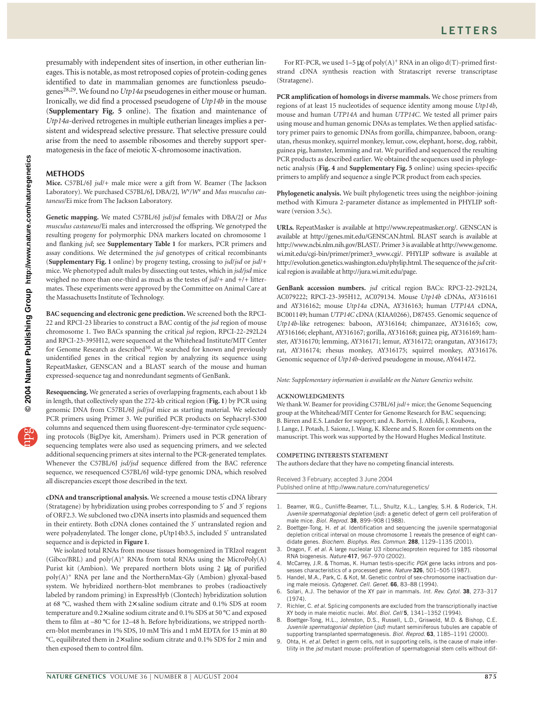presumably with independent sites of insertion, in other eutherian lineages. This is notable, as most retroposed copies of protein-coding genes identified to date in mammalian genomes are functionless pseudogenes28,29. We found no *Utp14a* pseudogenes in either mouse or human. Ironically, we did find a processed pseudogene of *Utp14b* in the mouse (**Supplementary Fig. 5** online). The fixation and maintenance of *Utp14a*-derived retrogenes in multiple eutherian lineages implies a persistent and widespread selective pressure. That selective pressure could arise from the need to assemble ribosomes and thereby support spermatogenesis in the face of meiotic X-chromosome inactivation.

### **METHODS**

**Mice.** C57BL/6J *jsd*/+ male mice were a gift from W. Beamer (The Jackson Laboratory). We purchased C57BL/6J, DBA/2J, *W*v/*W*<sup>v</sup> and *Mus musculus castaneus*/Ei mice from The Jackson Laboratory.

**Genetic mapping.** We mated C57BL/6J *jsd*/*jsd* females with DBA/2J or *Mus musculus castaneus*/Ei males and intercrossed the offspring. We genotyped the resulting progeny for polymorphic DNA markers located on chromosome 1 and flanking *jsd*; see **Supplementary Table 1** for markers, PCR primers and assay conditions. We determined the *jsd* genotypes of critical recombinants (**Supplementary Fig. 1** online) by progeny testing, crossing to *jsd*/*jsd* or *jsd*/*+* mice. We phenotyped adult males by dissecting out testes, which in *jsd/jsd* mice weighed no more than one-third as much as the testes of *jsd*/+ and +/+ littermates. These experiments were approved by the Committee on Animal Care at the Massachusetts Institute of Technology.

**BAC sequencing and electronic gene prediction.** We screened both the RPCI-22 and RPCI-23 libraries to construct a BAC contig of the *jsd* region of mouse chromosome 1. Two BACs spanning the critical *jsd* region, RPCI-22-292L24 and RPCI-23-395H12, were sequenced at the Whitehead Institute/MIT Center for Genome Research as described<sup>30</sup>. We searched for known and previously unidentified genes in the critical region by analyzing its sequence using RepeatMasker, GENSCAN and a BLAST search of the mouse and human expressed-sequence tag and nonredundant segments of GenBank.

**Resequencing.** We generated a series of overlapping fragments, each about 1 kb in length, that collectively span the 272-kb critical region (**Fig. 1**) by PCR using genomic DNA from C57BL/6J *jsd*/*jsd* mice as starting material. We selected PCR primers using Primer 3. We purified PCR products on Sephacryl-S300 columns and sequenced them using fluorescent-dye-terminator cycle sequencing protocols (BigDye kit, Amersham). Primers used in PCR generation of sequencing templates were also used as sequencing primers, and we selected additional sequencing primers at sites internal to the PCR-generated templates. Whenever the C57BL/6J *jsd/jsd* sequence differed from the BAC reference sequence, we resequenced C57BL/6J wild-type genomic DNA, which resolved all discrepancies except those described in the text.

**cDNA and transcriptional analysis.** We screened a mouse testis cDNA library (Stratagene) by hybridization using probes corresponding to 5′ and 3′ regions of ORF2.3. We subcloned two cDNA inserts into plasmids and sequenced them in their entirety. Both cDNA clones contained the 3′ untranslated region and were polyadenylated. The longer clone, pUtp14b3.5, included 5′ untranslated sequence and is depicted in **Figure 1**.

We isolated total RNAs from mouse tissues homogenized in TRIzol reagent (Gibco/BRL) and  $poly(A)^+$  RNAs from total RNAs using the MicroPoly(A) Purist kit (Ambion). We prepared northern blots using 2  $\mu$ g of purified poly(A)+ RNA per lane and the NorthernMax-Gly (Ambion) glyoxal-based system. We hybridized northern-blot membranes to probes (radioactively labeled by random priming) in ExpressHyb (Clontech) hybridization solution at 68 °C, washed them with 2× saline sodium citrate and 0.1% SDS at room temperature and 0.2× saline sodium citrate and 0.1% SDS at 50 °C and exposed them to film at –80 °C for 12–48 h. Before hybridizations, we stripped northern-blot membranes in 1% SDS, 10 mM Tris and 1 mM EDTA for 15 min at 80 °C, equilibrated them in 2× saline sodium citrate and 0.1% SDS for 2 min and then exposed them to control film.

For RT-PCR, we used  $1-5 \mu g$  of poly(A)<sup>+</sup> RNA in an oligo d(T)-primed firststrand cDNA synthesis reaction with Stratascript reverse transcriptase (Stratagene).

**PCR amplification of homologs in diverse mammals.** We chose primers from regions of at least 15 nucleotides of sequence identity among mouse *Utp14b*, mouse and human *UTP14A* and human *UTP14C*. We tested all primer pairs using mouse and human genomic DNAs as templates. We then applied satisfactory primer pairs to genomic DNAs from gorilla, chimpanzee, baboon, orangutan, rhesus monkey, squirrel monkey, lemur, cow, elephant, horse, dog, rabbit, guinea pig, hamster, lemming and rat. We purified and sequenced the resulting PCR products as described earlier. We obtained the sequences used in phylogenetic analysis (**Fig. 4** and **Supplementary Fig. 5** online) using species-specific primers to amplify and sequence a single PCR product from each species.

**Phylogenetic analysis.** We built phylogenetic trees using the neighbor-joining method with Kimura 2-parameter distance as implemented in PHYLIP software (version 3.5c).

**URLs.** RepeatMasker is available at http://www.repeatmasker.org/. GENSCAN is available at http://genes.mit.edu/GENSCAN.html. BLAST search is available at http://www.ncbi.nlm.nih.gov/BLAST/. Primer 3 is available at http://www.genome. wi.mit.edu/cgi-bin/primer/primer3\_www.cgi/. PHYLIP software is available at http://evolution.genetics.washington.edu/phylip.html. The sequence of the *jsd* critical region is available at http://jura.wi.mit.edu/page.

**GenBank accession numbers.** *jsd* critical region BACs: RPCI-22-292L24, AC079222; RPCI-23-395H12, AC079134. Mouse *Utp14b* cDNAs, AY316161 and AY316162; mouse *Utp14a* cDNA, AY316163; human *UTP14A* cDNA, BC001149; human *UTP14C* cDNA (KIAA0266), D87455. Genomic sequence of *Utp14b*-like retrogenes: baboon, AY316164; chimpanzee, AY316165; cow, AY316166; elephant, AY316167; gorilla, AY316168; guinea pig, AY316169; hamster, AY316170; lemming, AY316171; lemur, AY316172; orangutan, AY316173; rat, AY316174; rhesus monkey, AY316175; squirrel monkey, AY316176. Genomic sequence of *Utp14b*-derived pseudogene in mouse, AY641472.

*Note: Supplementary information is available on the Nature Genetics website.*

#### **ACKNOWLEDGMENTS**

We thank W. Beamer for providing C57BL/6J *jsd*/+ mice; the Genome Sequencing group at the Whitehead/MIT Center for Genome Research for BAC sequencing; B. Birren and E.S. Lander for support; and A. Bortvin, J. Alfoldi, J. Koubova, J. Lange, J. Potash, J. Saionz, J. Wang, K. Kleene and S. Rozen for comments on the manuscript. This work was supported by the Howard Hughes Medical Institute.

#### **COMPETING INTERESTS STATEMENT**

The authors declare that they have no competing financial interests.

Received 3 February; accepted 3 June 2004 Published online at http://www.nature.com/naturegenetics/

- 1. Beamer, W.G., Cunliffe-Beamer, T.L., Shultz, K.L., Langley, S.H. & Roderick, T.H. *Juvenile spermatogonial depletion* (*jsd*): a genetic defect of germ cell proliferation of male mice. *Biol. Reprod.* **38**, 899–908 (1988).
- 2. Boettger-Tong, H. *et al.* Identification and sequencing the juvenile spermatogonial depletion critical interval on mouse chromosome 1 reveals the presence of eight candidate genes. *Biochem. Biophys. Res. Commun.* **288**, 1129–1135 (2001).
- 3. Dragon, F. *et al.* A large nucleolar U3 ribonucleoprotein required for 18S ribosomal RNA biogenesis. *Nature* **417**, 967–970 (2002).
- 4. McCarrey, J.R. & Thomas, K. Human testis-specific *PGK* gene lacks introns and possesses characteristics of a processed gene. *Nature* **326**, 501–505 (1987).
- 5. Handel, M.A., Park, C. & Kot, M. Genetic control of sex-chromosome inactivation during male meiosis. *Cytogenet. Cell. Genet.* **66**, 83–88 (1994).
- 6. Solari, A.J. The behavior of the XY pair in mammals. *Int. Rev. Cytol.* **38**, 273–317 (1974).
- 7. Richler, C. *et al.* Splicing components are excluded from the transcriptionally inactive XY body in male meiotic nuclei. *Mol. Biol. Cell* **5**, 1341–1352 (1994).
- 8. Boettger-Tong, H.L., Johnston, D.S., Russell, L.D., Griswold, M.D. & Bishop, C.E. *Juvenile spermatogonial depletion* (*jsd*) mutant seminiferous tubules are capable of supporting transplanted spermatogenesis. *Biol. Reprod.* **63**, 1185–1191 (2000).
- 9. Ohta, H. *et al.* Defect in germ cells, not in supporting cells, is the cause of male infertility in the *jsd* mutant mouse: proliferation of spermatogonial stem cells without dif-